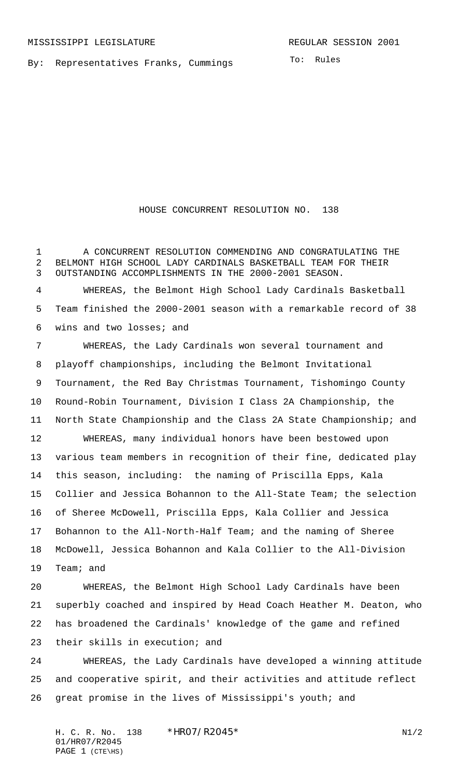By: Representatives Franks, Cummings

To: Rules

HOUSE CONCURRENT RESOLUTION NO. 138

 A CONCURRENT RESOLUTION COMMENDING AND CONGRATULATING THE BELMONT HIGH SCHOOL LADY CARDINALS BASKETBALL TEAM FOR THEIR OUTSTANDING ACCOMPLISHMENTS IN THE 2000-2001 SEASON. WHEREAS, the Belmont High School Lady Cardinals Basketball Team finished the 2000-2001 season with a remarkable record of 38 wins and two losses; and WHEREAS, the Lady Cardinals won several tournament and playoff championships, including the Belmont Invitational Tournament, the Red Bay Christmas Tournament, Tishomingo County Round-Robin Tournament, Division I Class 2A Championship, the North State Championship and the Class 2A State Championship; and WHEREAS, many individual honors have been bestowed upon various team members in recognition of their fine, dedicated play this season, including: the naming of Priscilla Epps, Kala Collier and Jessica Bohannon to the All-State Team; the selection of Sheree McDowell, Priscilla Epps, Kala Collier and Jessica Bohannon to the All-North-Half Team; and the naming of Sheree McDowell, Jessica Bohannon and Kala Collier to the All-Division Team; and WHEREAS, the Belmont High School Lady Cardinals have been superbly coached and inspired by Head Coach Heather M. Deaton, who has broadened the Cardinals' knowledge of the game and refined their skills in execution; and WHEREAS, the Lady Cardinals have developed a winning attitude and cooperative spirit, and their activities and attitude reflect great promise in the lives of Mississippi's youth; and

H. C. R. No. \*HRO7/R2O45\* N1/2 01/HR07/R2045 PAGE 1 (CTE\HS)